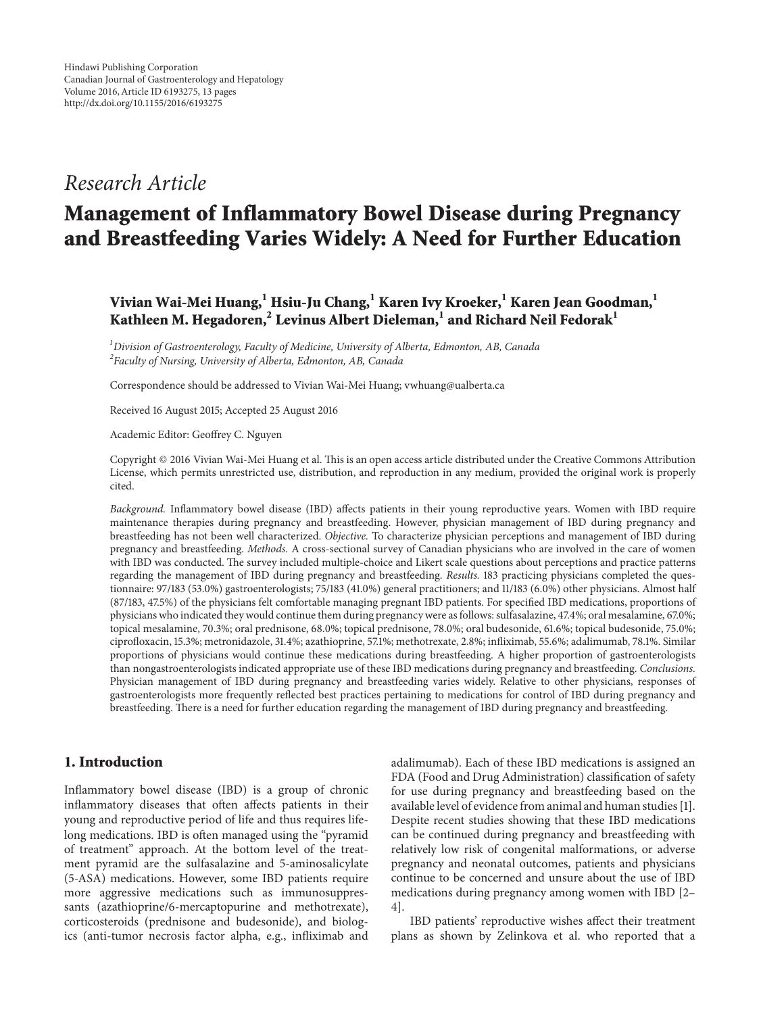# *Research Article*

# **Management of Inflammatory Bowel Disease during Pregnancy and Breastfeeding Varies Widely: A Need for Further Education**

# **Vivian Wai-Mei Huang,<sup>1</sup> Hsiu-Ju Chang,<sup>1</sup> Karen Ivy Kroeker,1 Karen Jean Goodman,1** Kathleen M. Hegadoren,<sup>2</sup> Levinus Albert Dieleman,<sup>1</sup> and Richard Neil Fedorak<sup>1</sup>

*1 Division of Gastroenterology, Faculty of Medicine, University of Alberta, Edmonton, AB, Canada 2 Faculty of Nursing, University of Alberta, Edmonton, AB, Canada*

Correspondence should be addressed to Vivian Wai-Mei Huang; vwhuang@ualberta.ca

Received 16 August 2015; Accepted 25 August 2016

Academic Editor: Geoffrey C. Nguyen

Copyright © 2016 Vivian Wai-Mei Huang et al. This is an open access article distributed under the Creative Commons Attribution License, which permits unrestricted use, distribution, and reproduction in any medium, provided the original work is properly cited.

*Background.* Inflammatory bowel disease (IBD) affects patients in their young reproductive years. Women with IBD require maintenance therapies during pregnancy and breastfeeding. However, physician management of IBD during pregnancy and breastfeeding has not been well characterized. *Objective.* To characterize physician perceptions and management of IBD during pregnancy and breastfeeding. *Methods.* A cross-sectional survey of Canadian physicians who are involved in the care of women with IBD was conducted. The survey included multiple-choice and Likert scale questions about perceptions and practice patterns regarding the management of IBD during pregnancy and breastfeeding. *Results.* 183 practicing physicians completed the questionnaire: 97/183 (53.0%) gastroenterologists; 75/183 (41.0%) general practitioners; and 11/183 (6.0%) other physicians. Almost half (87/183, 47.5%) of the physicians felt comfortable managing pregnant IBD patients. For specified IBD medications, proportions of physicians who indicated they would continue them during pregnancy were as follows: sulfasalazine, 47.4%; oral mesalamine, 67.0%; topical mesalamine, 70.3%; oral prednisone, 68.0%; topical prednisone, 78.0%; oral budesonide, 61.6%; topical budesonide, 75.0%; ciprofloxacin, 15.3%; metronidazole, 31.4%; azathioprine, 57.1%; methotrexate, 2.8%; infliximab, 55.6%; adalimumab, 78.1%. Similar proportions of physicians would continue these medications during breastfeeding. A higher proportion of gastroenterologists than nongastroenterologists indicated appropriate use of these IBD medications during pregnancy and breastfeeding. *Conclusions.* Physician management of IBD during pregnancy and breastfeeding varies widely. Relative to other physicians, responses of gastroenterologists more frequently reflected best practices pertaining to medications for control of IBD during pregnancy and breastfeeding. There is a need for further education regarding the management of IBD during pregnancy and breastfeeding.

# **1. Introduction**

Inflammatory bowel disease (IBD) is a group of chronic inflammatory diseases that often affects patients in their young and reproductive period of life and thus requires lifelong medications. IBD is often managed using the "pyramid of treatment" approach. At the bottom level of the treatment pyramid are the sulfasalazine and 5-aminosalicylate (5-ASA) medications. However, some IBD patients require more aggressive medications such as immunosuppressants (azathioprine/6-mercaptopurine and methotrexate), corticosteroids (prednisone and budesonide), and biologics (anti-tumor necrosis factor alpha, e.g., infliximab and

adalimumab). Each of these IBD medications is assigned an FDA (Food and Drug Administration) classification of safety for use during pregnancy and breastfeeding based on the available level of evidence from animal and human studies [1]. Despite recent studies showing that these IBD medications can be continued during pregnancy and breastfeeding with relatively low risk of congenital malformations, or adverse pregnancy and neonatal outcomes, patients and physicians continue to be concerned and unsure about the use of IBD medications during pregnancy among women with IBD [2– 4].

IBD patients' reproductive wishes affect their treatment plans as shown by Zelinkova et al. who reported that a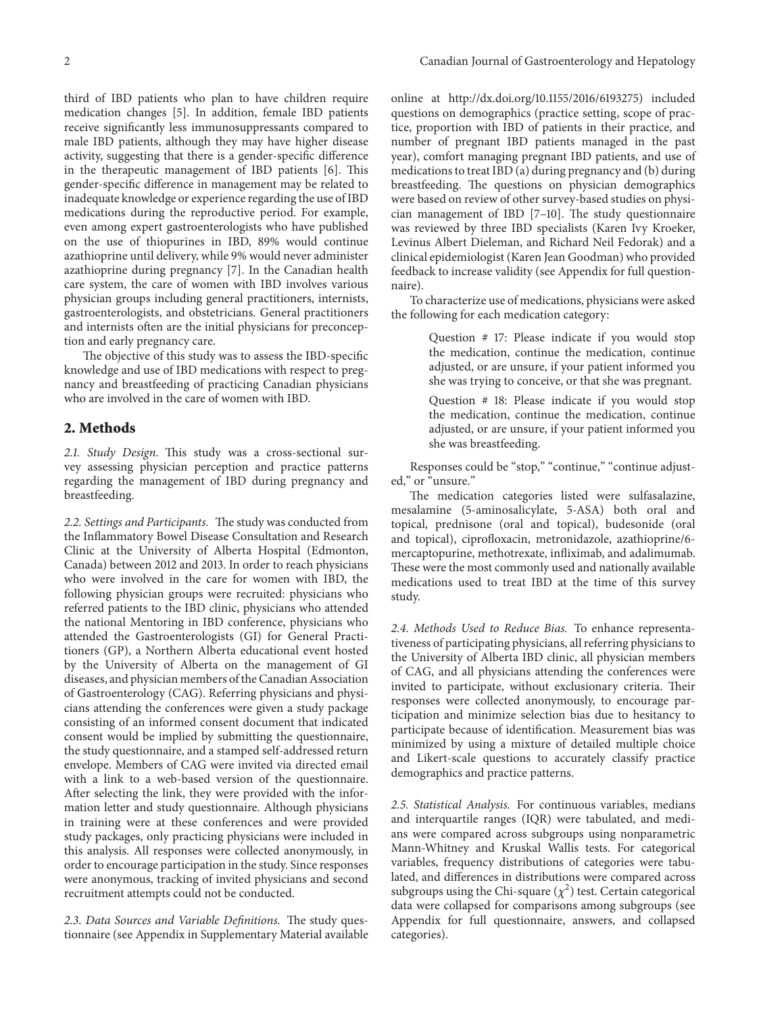third of IBD patients who plan to have children require medication changes [5]. In addition, female IBD patients receive significantly less immunosuppressants compared to male IBD patients, although they may have higher disease activity, suggesting that there is a gender-specific difference in the therapeutic management of IBD patients [6]. This gender-specific difference in management may be related to inadequate knowledge or experience regarding the use of IBD medications during the reproductive period. For example, even among expert gastroenterologists who have published on the use of thiopurines in IBD, 89% would continue azathioprine until delivery, while 9% would never administer azathioprine during pregnancy [7]. In the Canadian health care system, the care of women with IBD involves various physician groups including general practitioners, internists, gastroenterologists, and obstetricians. General practitioners and internists often are the initial physicians for preconception and early pregnancy care.

The objective of this study was to assess the IBD-specific knowledge and use of IBD medications with respect to pregnancy and breastfeeding of practicing Canadian physicians who are involved in the care of women with IBD.

#### **2. Methods**

*2.1. Study Design.* This study was a cross-sectional survey assessing physician perception and practice patterns regarding the management of IBD during pregnancy and breastfeeding.

*2.2. Settings and Participants.* The study was conducted from the Inflammatory Bowel Disease Consultation and Research Clinic at the University of Alberta Hospital (Edmonton, Canada) between 2012 and 2013. In order to reach physicians who were involved in the care for women with IBD, the following physician groups were recruited: physicians who referred patients to the IBD clinic, physicians who attended the national Mentoring in IBD conference, physicians who attended the Gastroenterologists (GI) for General Practitioners (GP), a Northern Alberta educational event hosted by the University of Alberta on the management of GI diseases, and physician members of the Canadian Association of Gastroenterology (CAG). Referring physicians and physicians attending the conferences were given a study package consisting of an informed consent document that indicated consent would be implied by submitting the questionnaire, the study questionnaire, and a stamped self-addressed return envelope. Members of CAG were invited via directed email with a link to a web-based version of the questionnaire. After selecting the link, they were provided with the information letter and study questionnaire. Although physicians in training were at these conferences and were provided study packages, only practicing physicians were included in this analysis. All responses were collected anonymously, in order to encourage participation in the study. Since responses were anonymous, tracking of invited physicians and second recruitment attempts could not be conducted.

*2.3. Data Sources and Variable Definitions.* The study questionnaire (see Appendix in Supplementary Material available online at http://dx.doi.org/10.1155/2016/6193275) included questions on demographics (practice setting, scope of practice, proportion with IBD of patients in their practice, and number of pregnant IBD patients managed in the past year), comfort managing pregnant IBD patients, and use of medications to treat IBD (a) during pregnancy and (b) during breastfeeding. The questions on physician demographics were based on review of other survey-based studies on physician management of IBD [7–10]. The study questionnaire was reviewed by three IBD specialists (Karen Ivy Kroeker, Levinus Albert Dieleman, and Richard Neil Fedorak) and a clinical epidemiologist (Karen Jean Goodman) who provided feedback to increase validity (see Appendix for full questionnaire).

To characterize use of medications, physicians were asked the following for each medication category:

> Question # 17: Please indicate if you would stop the medication, continue the medication, continue adjusted, or are unsure, if your patient informed you she was trying to conceive, or that she was pregnant.

> Question # 18: Please indicate if you would stop the medication, continue the medication, continue adjusted, or are unsure, if your patient informed you she was breastfeeding.

Responses could be "stop," "continue," "continue adjusted," or "unsure."

The medication categories listed were sulfasalazine, mesalamine (5-aminosalicylate, 5-ASA) both oral and topical, prednisone (oral and topical), budesonide (oral and topical), ciprofloxacin, metronidazole, azathioprine/6 mercaptopurine, methotrexate, infliximab, and adalimumab. These were the most commonly used and nationally available medications used to treat IBD at the time of this survey study.

*2.4. Methods Used to Reduce Bias.* To enhance representativeness of participating physicians, all referring physicians to the University of Alberta IBD clinic, all physician members of CAG, and all physicians attending the conferences were invited to participate, without exclusionary criteria. Their responses were collected anonymously, to encourage participation and minimize selection bias due to hesitancy to participate because of identification. Measurement bias was minimized by using a mixture of detailed multiple choice and Likert-scale questions to accurately classify practice demographics and practice patterns.

*2.5. Statistical Analysis.* For continuous variables, medians and interquartile ranges (IQR) were tabulated, and medians were compared across subgroups using nonparametric Mann-Whitney and Kruskal Wallis tests. For categorical variables, frequency distributions of categories were tabulated, and differences in distributions were compared across subgroups using the Chi-square  $(\chi^2)$  test. Certain categorical data were collapsed for comparisons among subgroups (see Appendix for full questionnaire, answers, and collapsed categories).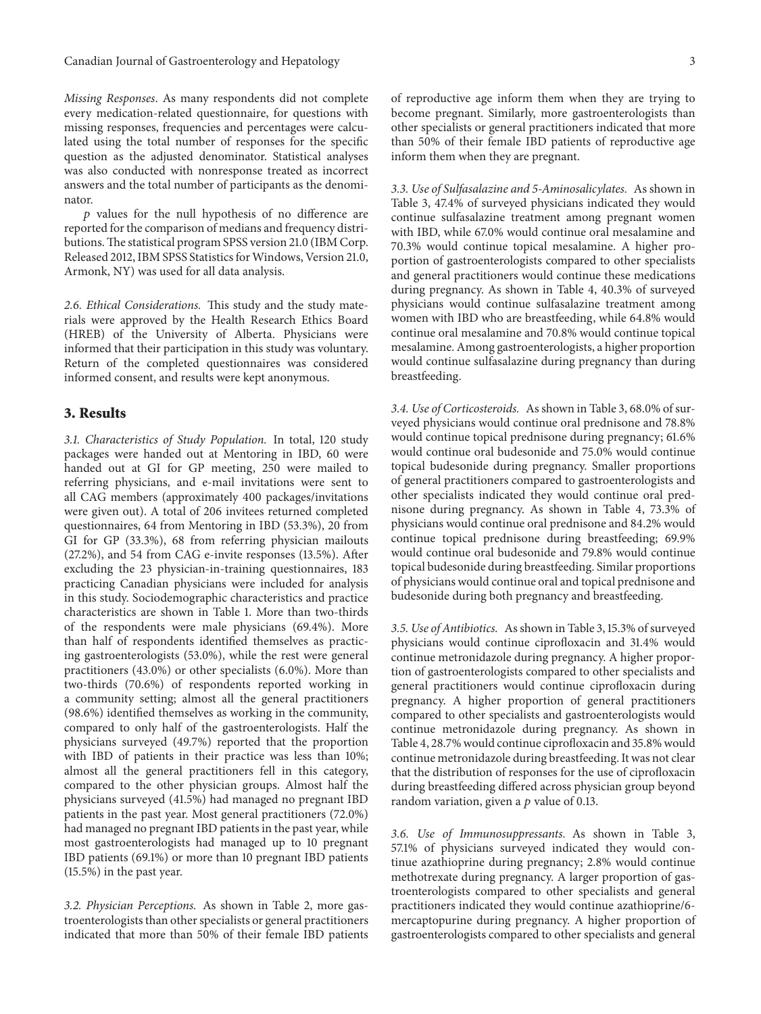*Missing Responses*. As many respondents did not complete every medication-related questionnaire, for questions with missing responses, frequencies and percentages were calculated using the total number of responses for the specific question as the adjusted denominator. Statistical analyses was also conducted with nonresponse treated as incorrect answers and the total number of participants as the denominator.

 $p$  values for the null hypothesis of no difference are reported for the comparison of medians and frequency distributions.The statistical program SPSS version 21.0 (IBM Corp. Released 2012, IBM SPSS Statistics for Windows, Version 21.0, Armonk, NY) was used for all data analysis.

*2.6. Ethical Considerations.* This study and the study materials were approved by the Health Research Ethics Board (HREB) of the University of Alberta. Physicians were informed that their participation in this study was voluntary. Return of the completed questionnaires was considered informed consent, and results were kept anonymous.

#### **3. Results**

*3.1. Characteristics of Study Population.* In total, 120 study packages were handed out at Mentoring in IBD, 60 were handed out at GI for GP meeting, 250 were mailed to referring physicians, and e-mail invitations were sent to all CAG members (approximately 400 packages/invitations were given out). A total of 206 invitees returned completed questionnaires, 64 from Mentoring in IBD (53.3%), 20 from GI for GP (33.3%), 68 from referring physician mailouts (27.2%), and 54 from CAG e-invite responses (13.5%). After excluding the 23 physician-in-training questionnaires, 183 practicing Canadian physicians were included for analysis in this study. Sociodemographic characteristics and practice characteristics are shown in Table 1. More than two-thirds of the respondents were male physicians (69.4%). More than half of respondents identified themselves as practicing gastroenterologists (53.0%), while the rest were general practitioners (43.0%) or other specialists (6.0%). More than two-thirds (70.6%) of respondents reported working in a community setting; almost all the general practitioners (98.6%) identified themselves as working in the community, compared to only half of the gastroenterologists. Half the physicians surveyed (49.7%) reported that the proportion with IBD of patients in their practice was less than 10%; almost all the general practitioners fell in this category, compared to the other physician groups. Almost half the physicians surveyed (41.5%) had managed no pregnant IBD patients in the past year. Most general practitioners (72.0%) had managed no pregnant IBD patients in the past year, while most gastroenterologists had managed up to 10 pregnant IBD patients (69.1%) or more than 10 pregnant IBD patients (15.5%) in the past year.

*3.2. Physician Perceptions.* As shown in Table 2, more gastroenterologists than other specialists or general practitioners indicated that more than 50% of their female IBD patients of reproductive age inform them when they are trying to become pregnant. Similarly, more gastroenterologists than other specialists or general practitioners indicated that more than 50% of their female IBD patients of reproductive age inform them when they are pregnant.

*3.3. Use of Sulfasalazine and 5-Aminosalicylates.* As shown in Table 3, 47.4% of surveyed physicians indicated they would continue sulfasalazine treatment among pregnant women with IBD, while 67.0% would continue oral mesalamine and 70.3% would continue topical mesalamine. A higher proportion of gastroenterologists compared to other specialists and general practitioners would continue these medications during pregnancy. As shown in Table 4, 40.3% of surveyed physicians would continue sulfasalazine treatment among women with IBD who are breastfeeding, while 64.8% would continue oral mesalamine and 70.8% would continue topical mesalamine. Among gastroenterologists, a higher proportion would continue sulfasalazine during pregnancy than during breastfeeding.

*3.4. Use of Corticosteroids.* As shown in Table 3, 68.0% of surveyed physicians would continue oral prednisone and 78.8% would continue topical prednisone during pregnancy; 61.6% would continue oral budesonide and 75.0% would continue topical budesonide during pregnancy. Smaller proportions of general practitioners compared to gastroenterologists and other specialists indicated they would continue oral prednisone during pregnancy. As shown in Table 4, 73.3% of physicians would continue oral prednisone and 84.2% would continue topical prednisone during breastfeeding; 69.9% would continue oral budesonide and 79.8% would continue topical budesonide during breastfeeding. Similar proportions of physicians would continue oral and topical prednisone and budesonide during both pregnancy and breastfeeding.

*3.5. Use of Antibiotics.* As shown in Table 3, 15.3% of surveyed physicians would continue ciprofloxacin and 31.4% would continue metronidazole during pregnancy. A higher proportion of gastroenterologists compared to other specialists and general practitioners would continue ciprofloxacin during pregnancy. A higher proportion of general practitioners compared to other specialists and gastroenterologists would continue metronidazole during pregnancy. As shown in Table 4, 28.7% would continue ciprofloxacin and 35.8% would continue metronidazole during breastfeeding. It was not clear that the distribution of responses for the use of ciprofloxacin during breastfeeding differed across physician group beyond random variation, given a  $p$  value of 0.13.

*3.6. Use of Immunosuppressants.* As shown in Table 3, 57.1% of physicians surveyed indicated they would continue azathioprine during pregnancy; 2.8% would continue methotrexate during pregnancy. A larger proportion of gastroenterologists compared to other specialists and general practitioners indicated they would continue azathioprine/6 mercaptopurine during pregnancy. A higher proportion of gastroenterologists compared to other specialists and general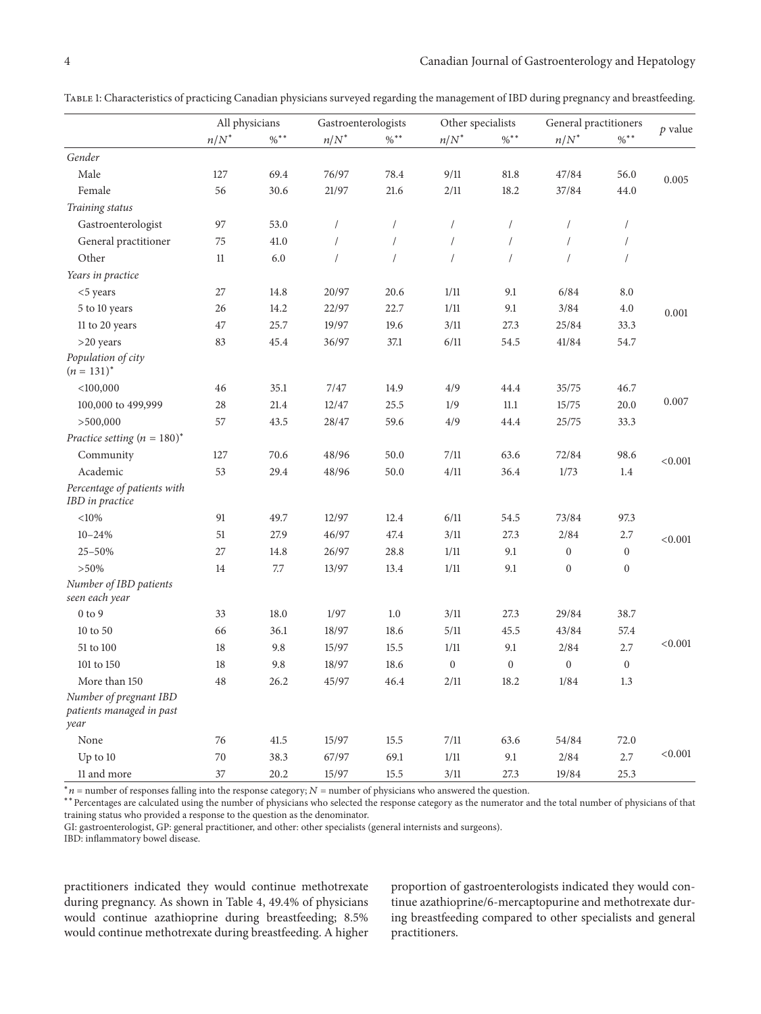|                                                            | All physicians |         | Gastroenterologists |            | Other specialists |                  | General practitioners |                  |              |
|------------------------------------------------------------|----------------|---------|---------------------|------------|-------------------|------------------|-----------------------|------------------|--------------|
|                                                            | $n/N^*$        | $\%$ ** | $n/N^*$             | $\%$ **    | $n/N^*$           | $\%$ **          | $n/N^*$               | $\%$ **          | $p$ value    |
| Gender                                                     |                |         |                     |            |                   |                  |                       |                  |              |
| Male                                                       | 127            | 69.4    | 76/97               | 78.4       | 9/11              | 81.8             | 47/84                 | 56.0             | 0.005        |
| Female                                                     | 56             | 30.6    | 21/97               | 21.6       | 2/11              | 18.2             | 37/84                 | 44.0             |              |
| Training status                                            |                |         |                     |            |                   |                  |                       |                  |              |
| Gastroenterologist                                         | 97             | 53.0    | $\sqrt{2}$          | $\sqrt{2}$ | T                 |                  |                       | $\overline{1}$   |              |
| General practitioner                                       | 75             | 41.0    | $\sqrt{2}$          | $\sqrt{2}$ | T                 |                  |                       | $\sqrt{2}$       |              |
| Other                                                      | 11             | 6.0     | $\sqrt{2}$          | $\sqrt{2}$ | $\sqrt{2}$        | $\sqrt{2}$       |                       | $\prime$         |              |
| Years in practice                                          |                |         |                     |            |                   |                  |                       |                  |              |
| <5 years                                                   | $27\,$         | 14.8    | 20/97               | 20.6       | 1/11              | 9.1              | 6/84                  | 8.0              |              |
| 5 to 10 years                                              | 26             | 14.2    | 22/97               | 22.7       | 1/11              | 9.1              | 3/84                  | 4.0              | 0.001        |
| 11 to 20 years                                             | 47             | 25.7    | 19/97               | 19.6       | 3/11              | 27.3             | 25/84                 | 33.3             |              |
| >20 years                                                  | 83             | 45.4    | 36/97               | 37.1       | 6/11              | 54.5             | 41/84                 | 54.7             |              |
| Population of city<br>$(n = 131)^{*}$                      |                |         |                     |            |                   |                  |                       |                  |              |
| $<$ 100,000                                                | 46             | 35.1    | 7/47                | 14.9       | 4/9               | 44.4             | 35/75                 | 46.7             |              |
| 100,000 to 499,999                                         | 28             | 21.4    | 12/47               | 25.5       | 1/9               | 11.1             | 15/75                 | 20.0             | 0.007        |
| >500,000                                                   | 57             | 43.5    | 28/47               | 59.6       | 4/9               | 44.4             | 25/75                 | 33.3             |              |
| Practice setting $(n = 180)^*$                             |                |         |                     |            |                   |                  |                       |                  |              |
| Community                                                  | 127            | 70.6    | 48/96               | 50.0       | 7/11              | 63.6             | 72/84                 | 98.6             | < 0.001      |
| Academic                                                   | 53             | 29.4    | 48/96               | 50.0       | 4/11              | 36.4             | 1/73                  | 1.4              |              |
| Percentage of patients with<br>IBD in practice             |                |         |                     |            |                   |                  |                       |                  |              |
| <10%                                                       | 91             | 49.7    | 12/97               | 12.4       | 6/11              | 54.5             | 73/84                 | 97.3             |              |
| $10 - 24%$                                                 | 51             | 27.9    | 46/97               | 47.4       | 3/11              | 27.3             | 2/84                  | 2.7              | < 0.001      |
| 25-50%                                                     | 27             | 14.8    | 26/97               | 28.8       | $1/11$            | 9.1              | $\boldsymbol{0}$      | $\overline{0}$   |              |
| $>50\%$                                                    | 14             | 7.7     | 13/97               | 13.4       | 1/11              | 9.1              | $\boldsymbol{0}$      | $\boldsymbol{0}$ |              |
| Number of IBD patients<br>seen each year                   |                |         |                     |            |                   |                  |                       |                  |              |
| $0$ to $9$                                                 | 33             | 18.0    | 1/97                | $1.0\,$    | 3/11              | 27.3             | 29/84                 | 38.7             |              |
| 10 to 50                                                   | 66             | 36.1    | 18/97               | 18.6       | 5/11              | 45.5             | 43/84                 | 57.4             |              |
| 51 to 100                                                  | 18             | 9.8     | 15/97               | 15.5       | 1/11              | 9.1              | 2/84                  | 2.7              | < 0.001      |
| 101 to 150                                                 | 18             | 9.8     | 18/97               | 18.6       | $\boldsymbol{0}$  | $\boldsymbol{0}$ | $\boldsymbol{0}$      | $\boldsymbol{0}$ |              |
| More than 150                                              | 48             | 26.2    | 45/97               | 46.4       | 2/11              | $18.2\,$         | $1/84\,$              | $1.3\,$          |              |
| Number of pregnant IBD<br>patients managed in past<br>year |                |         |                     |            |                   |                  |                       |                  |              |
| None                                                       | 76             | 41.5    | 15/97               | 15.5       | 7/11              | 63.6             | 54/84                 | 72.0             |              |
| Up to 10                                                   | $70\,$         | 38.3    | 67/97               | 69.1       | $1/\sqrt{11}$     | 9.1              | 2/84                  | 2.7              | $<\!\!0.001$ |
| 11 and more                                                | $37\,$         | 20.2    | 15/97               | 15.5       | $3/11$            | 27.3             | 19/84                 | 25.3             |              |

|  |  |  | TABLE 1: Characteristics of practicing Canadian physicians surveved regarding the management of IBD during pregnancy and breastfeeding |  |  |
|--|--|--|----------------------------------------------------------------------------------------------------------------------------------------|--|--|
|  |  |  |                                                                                                                                        |  |  |

 $\overline{n}$  in = number of responses falling into the response category; N = number of physicians who answered the question.<br>\*\*Percentages are calculated using the number of physicians who selected the response category as th training status who provided a response to the question as the denominator.

GI: gastroenterologist, GP: general practitioner, and other: other specialists (general internists and surgeons).

IBD: inflammatory bowel disease.

practitioners indicated they would continue methotrexate during pregnancy. As shown in Table 4, 49.4% of physicians would continue azathioprine during breastfeeding; 8.5% would continue methotrexate during breastfeeding. A higher

proportion of gastroenterologists indicated they would continue azathioprine/6-mercaptopurine and methotrexate during breastfeeding compared to other specialists and general practitioners.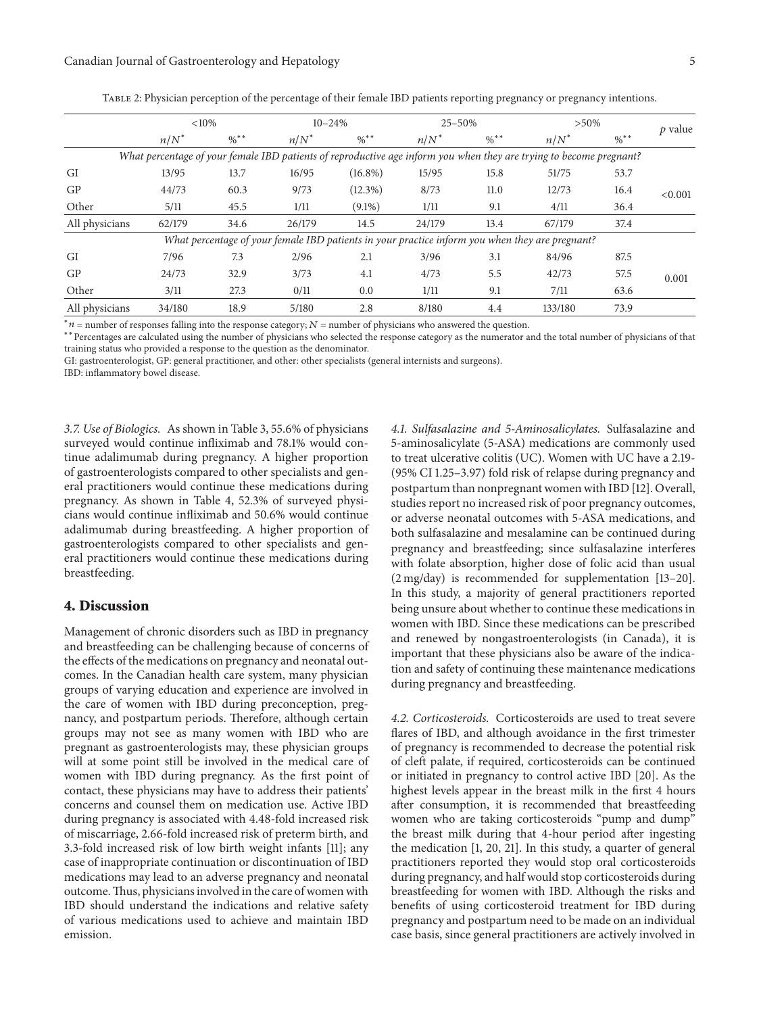|                | <10%    |         | $10 - 24\%$ |            | $25 - 50%$ |         | $>50\%$                                                                                                             |         | $p$ value |
|----------------|---------|---------|-------------|------------|------------|---------|---------------------------------------------------------------------------------------------------------------------|---------|-----------|
|                | $n/N^*$ | $\%$ ** | $n/N^*$     | $\%$ **    | $n/N^*$    | $\%$ ** | $n/N^*$                                                                                                             | $\%$ ** |           |
|                |         |         |             |            |            |         | What percentage of your female IBD patients of reproductive age inform you when they are trying to become pregnant? |         |           |
| GI             | 13/95   | 13.7    | 16/95       | $(16.8\%)$ | 15/95      | 15.8    | 51/75                                                                                                               | 53.7    |           |
| GP             | 44/73   | 60.3    | 9/73        | $(12.3\%)$ | 8/73       | 11.0    | 12/73                                                                                                               | 16.4    | < 0.001   |
| Other          | 5/11    | 45.5    | 1/11        | $(9.1\%)$  | 1/11       | 9.1     | 4/11                                                                                                                | 36.4    |           |
| All physicians | 62/179  | 34.6    | 26/179      | 14.5       | 24/179     | 13.4    | 67/179                                                                                                              | 37.4    |           |
|                |         |         |             |            |            |         | What percentage of your female IBD patients in your practice inform you when they are pregnant?                     |         |           |
| GI             | 7/96    | 7.3     | 2/96        | 2.1        | 3/96       | 3.1     | 84/96                                                                                                               | 87.5    |           |
| GP             | 24/73   | 32.9    | 3/73        | 4.1        | 4/73       | 5.5     | 42/73                                                                                                               | 57.5    | 0.001     |
| Other          | 3/11    | 27.3    | 0/11        | 0.0        | 1/11       | 9.1     | 7/11                                                                                                                | 63.6    |           |
| All physicians | 34/180  | 18.9    | 5/180       | 2.8        | 8/180      | 4.4     | 133/180                                                                                                             | 73.9    |           |

Table 2: Physician perception of the percentage of their female IBD patients reporting pregnancy or pregnancy intentions.

 $\,^*n$  = number of responses falling into the response category;  $N$  = number of physicians who answered the question.<br>\*\* Percentages are calculated using the number of physicians who selected the response category as th training status who provided a response to the question as the denominator.

GI: gastroenterologist, GP: general practitioner, and other: other specialists (general internists and surgeons).

IBD: inflammatory bowel disease.

*3.7. Use of Biologics.* As shown in Table 3, 55.6% of physicians surveyed would continue infliximab and 78.1% would continue adalimumab during pregnancy. A higher proportion of gastroenterologists compared to other specialists and general practitioners would continue these medications during pregnancy. As shown in Table 4, 52.3% of surveyed physicians would continue infliximab and 50.6% would continue adalimumab during breastfeeding. A higher proportion of gastroenterologists compared to other specialists and general practitioners would continue these medications during breastfeeding.

#### **4. Discussion**

Management of chronic disorders such as IBD in pregnancy and breastfeeding can be challenging because of concerns of the effects of the medications on pregnancy and neonatal outcomes. In the Canadian health care system, many physician groups of varying education and experience are involved in the care of women with IBD during preconception, pregnancy, and postpartum periods. Therefore, although certain groups may not see as many women with IBD who are pregnant as gastroenterologists may, these physician groups will at some point still be involved in the medical care of women with IBD during pregnancy. As the first point of contact, these physicians may have to address their patients' concerns and counsel them on medication use. Active IBD during pregnancy is associated with 4.48-fold increased risk of miscarriage, 2.66-fold increased risk of preterm birth, and 3.3-fold increased risk of low birth weight infants [11]; any case of inappropriate continuation or discontinuation of IBD medications may lead to an adverse pregnancy and neonatal outcome.Thus, physicians involved in the care of women with IBD should understand the indications and relative safety of various medications used to achieve and maintain IBD emission.

*4.1. Sulfasalazine and 5-Aminosalicylates.* Sulfasalazine and 5-aminosalicylate (5-ASA) medications are commonly used to treat ulcerative colitis (UC). Women with UC have a 2.19- (95% CI 1.25–3.97) fold risk of relapse during pregnancy and postpartum than nonpregnant women with IBD [12]. Overall, studies report no increased risk of poor pregnancy outcomes, or adverse neonatal outcomes with 5-ASA medications, and both sulfasalazine and mesalamine can be continued during pregnancy and breastfeeding; since sulfasalazine interferes with folate absorption, higher dose of folic acid than usual (2 mg/day) is recommended for supplementation [13–20]. In this study, a majority of general practitioners reported being unsure about whether to continue these medications in women with IBD. Since these medications can be prescribed and renewed by nongastroenterologists (in Canada), it is important that these physicians also be aware of the indication and safety of continuing these maintenance medications during pregnancy and breastfeeding.

*4.2. Corticosteroids.* Corticosteroids are used to treat severe flares of IBD, and although avoidance in the first trimester of pregnancy is recommended to decrease the potential risk of cleft palate, if required, corticosteroids can be continued or initiated in pregnancy to control active IBD [20]. As the highest levels appear in the breast milk in the first 4 hours after consumption, it is recommended that breastfeeding women who are taking corticosteroids "pump and dump" the breast milk during that 4-hour period after ingesting the medication [1, 20, 21]. In this study, a quarter of general practitioners reported they would stop oral corticosteroids during pregnancy, and half would stop corticosteroids during breastfeeding for women with IBD. Although the risks and benefits of using corticosteroid treatment for IBD during pregnancy and postpartum need to be made on an individual case basis, since general practitioners are actively involved in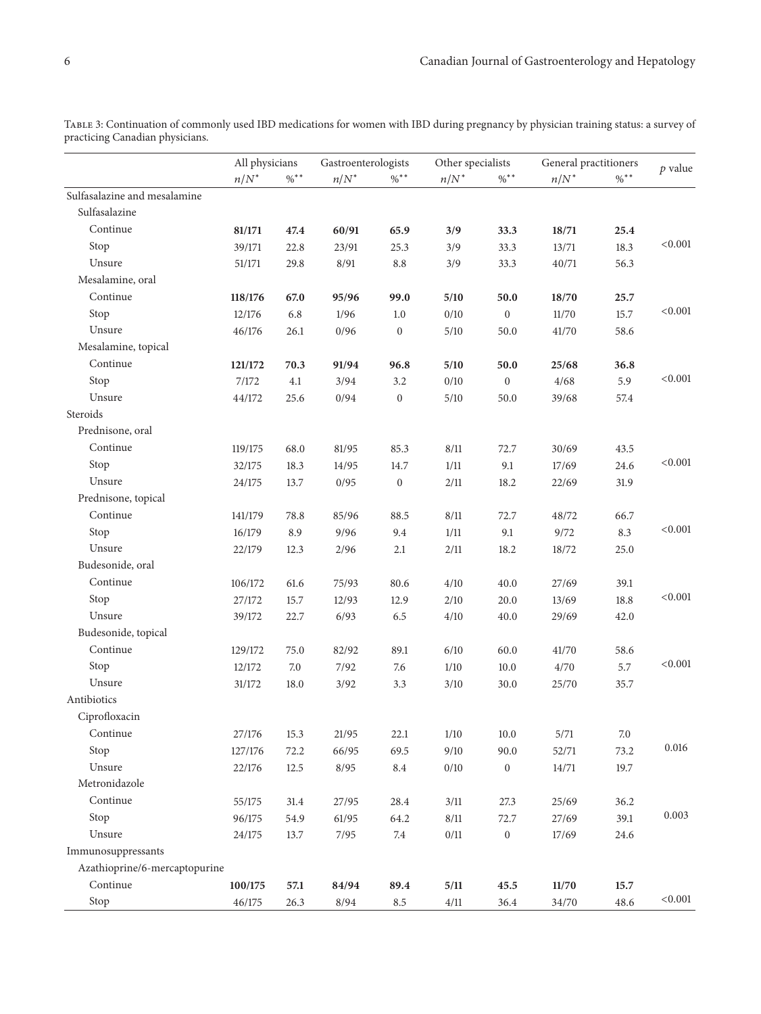|                               | All physicians |                | Gastroenterologists |                  | Other specialists |                  | General practitioners |         | $p$ value |
|-------------------------------|----------------|----------------|---------------------|------------------|-------------------|------------------|-----------------------|---------|-----------|
|                               | $n/N^*$        | $\%$ $^{\ast}$ | $n/N^*$             | $\%$ **          | $n/N^*$           | $\%$ $^{\ast}$   | $n/N^*$               | $\%$ ** |           |
| Sulfasalazine and mesalamine  |                |                |                     |                  |                   |                  |                       |         |           |
| Sulfasalazine                 |                |                |                     |                  |                   |                  |                       |         |           |
| Continue                      | 81/171         | 47.4           | 60/91               | 65.9             | 3/9               | 33.3             | 18/71                 | 25.4    |           |
| Stop                          | 39/171         | 22.8           | 23/91               | 25.3             | 3/9               | 33.3             | 13/71                 | 18.3    | < 0.001   |
| Unsure                        | 51/171         | 29.8           | 8/91                | $8.8\,$          | 3/9               | 33.3             | 40/71                 | 56.3    |           |
| Mesalamine, oral              |                |                |                     |                  |                   |                  |                       |         |           |
| Continue                      | 118/176        | 67.0           | 95/96               | 99.0             | 5/10              | 50.0             | 18/70                 | 25.7    |           |
| Stop                          | 12/176         | 6.8            | 1/96                | 1.0              | $0/10$            | $\boldsymbol{0}$ | 11/70                 | 15.7    | < 0.001   |
| Unsure                        | 46/176         | 26.1           | 0/96                | $\boldsymbol{0}$ | $5/10$            | 50.0             | 41/70                 | 58.6    |           |
| Mesalamine, topical           |                |                |                     |                  |                   |                  |                       |         |           |
| Continue                      | 121/172        | 70.3           | 91/94               | 96.8             | 5/10              | 50.0             | 25/68                 | 36.8    |           |
| Stop                          | 7/172          | 4.1            | 3/94                | 3.2              | 0/10              | $\boldsymbol{0}$ | 4/68                  | 5.9     | < 0.001   |
| Unsure                        | 44/172         | 25.6           | 0/94                | $\boldsymbol{0}$ | $5/10$            | 50.0             | 39/68                 | 57.4    |           |
| Steroids                      |                |                |                     |                  |                   |                  |                       |         |           |
| Prednisone, oral              |                |                |                     |                  |                   |                  |                       |         |           |
| Continue                      | 119/175        | 68.0           | 81/95               | 85.3             | 8/11              | 72.7             | 30/69                 | 43.5    |           |
| Stop                          | 32/175         | 18.3           | 14/95               | 14.7             | $1/\mathrm{11}$   | 9.1              | 17/69                 | 24.6    | < 0.001   |
| Unsure                        | 24/175         | 13.7           | 0/95                | $\boldsymbol{0}$ | 2/11              | 18.2             | 22/69                 | 31.9    |           |
| Prednisone, topical           |                |                |                     |                  |                   |                  |                       |         |           |
| Continue                      | 141/179        | 78.8           | 85/96               | 88.5             | 8/11              | 72.7             | 48/72                 | 66.7    |           |
| Stop                          | 16/179         | 8.9            | 9/96                | 9.4              | $1/11$            | 9.1              | 9/72                  | 8.3     | < 0.001   |
| Unsure                        | 22/179         | 12.3           | 2/96                | 2.1              | 2/11              | 18.2             | 18/72                 | 25.0    |           |
| Budesonide, oral              |                |                |                     |                  |                   |                  |                       |         |           |
| Continue                      | 106/172        | 61.6           | 75/93               | 80.6             | 4/10              | 40.0             | 27/69                 | 39.1    |           |
| Stop                          | 27/172         | 15.7           | 12/93               | 12.9             | 2/10              | 20.0             | 13/69                 | 18.8    | < 0.001   |
| Unsure                        | 39/172         | 22.7           | 6/93                | 6.5              | 4/10              | 40.0             | 29/69                 | 42.0    |           |
| Budesonide, topical           |                |                |                     |                  |                   |                  |                       |         |           |
| Continue                      | 129/172        | 75.0           | 82/92               | 89.1             | 6/10              | 60.0             | 41/70                 | 58.6    |           |
| Stop                          | 12/172         | $7.0$          | 7/92                | 7.6              | 1/10              | 10.0             | 4/70                  | 5.7     | < 0.001   |
| Unsure                        | 31/172         | 18.0           | 3/92                | 3.3              | 3/10              | 30.0             | 25/70                 | 35.7    |           |
| Antibiotics                   |                |                |                     |                  |                   |                  |                       |         |           |
| Ciprofloxacin                 |                |                |                     |                  |                   |                  |                       |         |           |
| Continue                      | 27/176         | 15.3           | 21/95               | 22.1             | 1/10              | 10.0             | 5/71                  | 7.0     |           |
| Stop                          | 127/176        | 72.2           | 66/95               | 69.5             | 9/10              | 90.0             | 52/71                 | 73.2    | 0.016     |
| Unsure                        | 22/176         | 12.5           | 8/95                | $\ \, 8.4$       | $0/10$            | $\boldsymbol{0}$ | 14/71                 | 19.7    |           |
| Metronidazole                 |                |                |                     |                  |                   |                  |                       |         |           |
| Continue                      | 55/175         | 31.4           | 27/95               | 28.4             | 3/11              | 27.3             | 25/69                 | 36.2    |           |
| Stop                          | 96/175         | 54.9           | 61/95               | 64.2             | 8/11              | 72.7             | 27/69                 | 39.1    | 0.003     |
| Unsure                        | 24/175         | 13.7           | 7/95                | $7.4\,$          | $0/11\,$          | $\boldsymbol{0}$ | 17/69                 | 24.6    |           |
| Immunosuppressants            |                |                |                     |                  |                   |                  |                       |         |           |
| Azathioprine/6-mercaptopurine |                |                |                     |                  |                   |                  |                       |         |           |
| Continue                      | 100/175        | 57.1           | 84/94               | 89.4             | $5/11$            | 45.5             | 11/70                 | 15.7    |           |
| Stop                          | 46/175         | 26.3           | $8/94$              | $8.5\,$          | 4/11              | 36.4             | 34/70                 | 48.6    | < 0.001   |

Table 3: Continuation of commonly used IBD medications for women with IBD during pregnancy by physician training status: a survey of practicing Canadian physicians.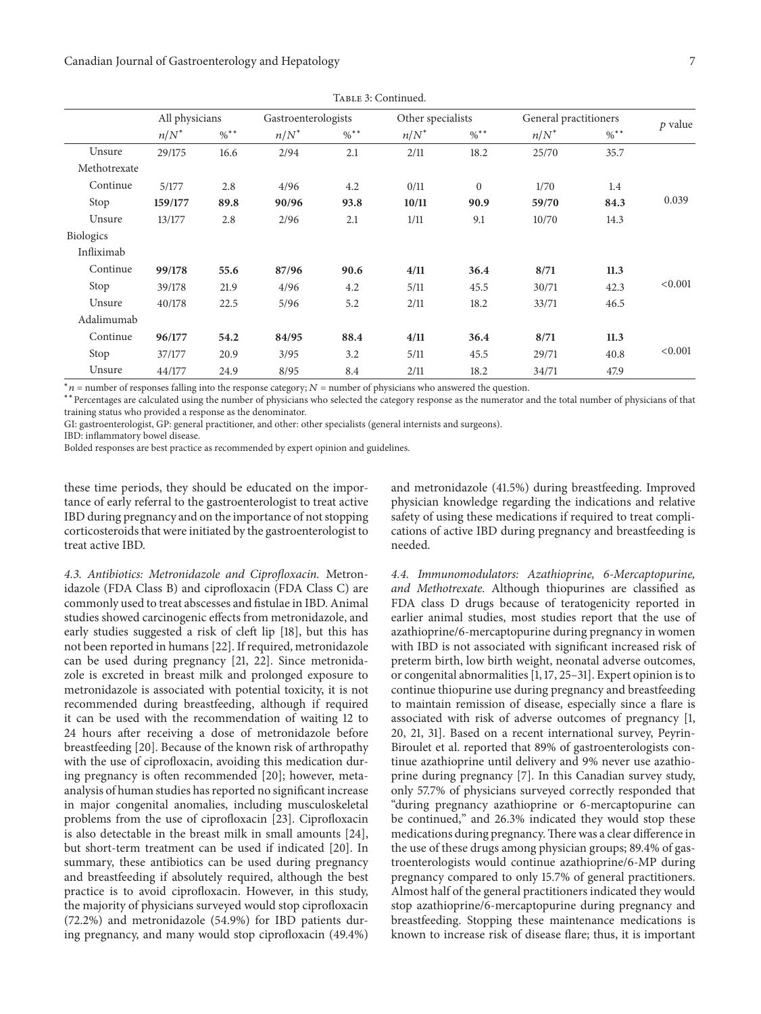|                  |                |                         |                     |         | TABLE 3: Continued. |                         |                       |         |           |
|------------------|----------------|-------------------------|---------------------|---------|---------------------|-------------------------|-----------------------|---------|-----------|
|                  | All physicians |                         | Gastroenterologists |         | Other specialists   |                         | General practitioners |         | $p$ value |
|                  | $n/N^*$        | $\%$ $\hspace{0.1cm}^*$ | $n/N^*$             | $\%$ ** | $n/N^*$             | $\%$ $\hspace{0.1cm}^*$ | $n/N^*$               | $\%$ ** |           |
| Unsure           | 29/175         | 16.6                    | 2/94                | 2.1     | 2/11                | 18.2                    | 25/70                 | 35.7    |           |
| Methotrexate     |                |                         |                     |         |                     |                         |                       |         |           |
| Continue         | 5/177          | 2.8                     | 4/96                | 4.2     | 0/11                | $\Omega$                | 1/70                  | 1.4     |           |
| Stop             | 159/177        | 89.8                    | 90/96               | 93.8    | 10/11               | 90.9                    | 59/70                 | 84.3    | 0.039     |
| Unsure           | 13/177         | 2.8                     | 2/96                | 2.1     | 1/11                | 9.1                     | 10/70                 | 14.3    |           |
| <b>Biologics</b> |                |                         |                     |         |                     |                         |                       |         |           |
| Infliximab       |                |                         |                     |         |                     |                         |                       |         |           |
| Continue         | 99/178         | 55.6                    | 87/96               | 90.6    | 4/11                | 36.4                    | 8/71                  | 11.3    |           |
| Stop             | 39/178         | 21.9                    | 4/96                | 4.2     | 5/11                | 45.5                    | 30/71                 | 42.3    | < 0.001   |
| Unsure           | 40/178         | 22.5                    | 5/96                | 5.2     | 2/11                | 18.2                    | 33/71                 | 46.5    |           |
| Adalimumab       |                |                         |                     |         |                     |                         |                       |         |           |
| Continue         | 96/177         | 54.2                    | 84/95               | 88.4    | 4/11                | 36.4                    | 8/71                  | 11.3    |           |
| Stop             | 37/177         | 20.9                    | 3/95                | 3.2     | 5/11                | 45.5                    | 29/71                 | 40.8    | < 0.001   |
| Unsure           | 44/177         | 24.9                    | 8/95                | 8.4     | 2/11                | 18.2                    | 34/71                 | 47.9    |           |

 $*$  n = number of responses falling into the response category;  $N$  = number of physicians who answered the question.<br>\*\* Percentages are calculated using the number of physicians who selected the category response as the training status who provided a response as the denominator.

GI: gastroenterologist, GP: general practitioner, and other: other specialists (general internists and surgeons).

IBD: inflammatory bowel disease.

Bolded responses are best practice as recommended by expert opinion and guidelines.

these time periods, they should be educated on the importance of early referral to the gastroenterologist to treat active IBD during pregnancy and on the importance of not stopping corticosteroids that were initiated by the gastroenterologist to treat active IBD.

*4.3. Antibiotics: Metronidazole and Ciprofloxacin.* Metronidazole (FDA Class B) and ciprofloxacin (FDA Class C) are commonly used to treat abscesses and fistulae in IBD. Animal studies showed carcinogenic effects from metronidazole, and early studies suggested a risk of cleft lip [18], but this has not been reported in humans [22]. If required, metronidazole can be used during pregnancy [21, 22]. Since metronidazole is excreted in breast milk and prolonged exposure to metronidazole is associated with potential toxicity, it is not recommended during breastfeeding, although if required it can be used with the recommendation of waiting 12 to 24 hours after receiving a dose of metronidazole before breastfeeding [20]. Because of the known risk of arthropathy with the use of ciprofloxacin, avoiding this medication during pregnancy is often recommended [20]; however, metaanalysis of human studies has reported no significant increase in major congenital anomalies, including musculoskeletal problems from the use of ciprofloxacin [23]. Ciprofloxacin is also detectable in the breast milk in small amounts [24], but short-term treatment can be used if indicated [20]. In summary, these antibiotics can be used during pregnancy and breastfeeding if absolutely required, although the best practice is to avoid ciprofloxacin. However, in this study, the majority of physicians surveyed would stop ciprofloxacin (72.2%) and metronidazole (54.9%) for IBD patients during pregnancy, and many would stop ciprofloxacin (49.4%)

and metronidazole (41.5%) during breastfeeding. Improved physician knowledge regarding the indications and relative safety of using these medications if required to treat complications of active IBD during pregnancy and breastfeeding is needed.

*4.4. Immunomodulators: Azathioprine, 6-Mercaptopurine, and Methotrexate.* Although thiopurines are classified as FDA class D drugs because of teratogenicity reported in earlier animal studies, most studies report that the use of azathioprine/6-mercaptopurine during pregnancy in women with IBD is not associated with significant increased risk of preterm birth, low birth weight, neonatal adverse outcomes, or congenital abnormalities [1, 17, 25–31]. Expert opinion is to continue thiopurine use during pregnancy and breastfeeding to maintain remission of disease, especially since a flare is associated with risk of adverse outcomes of pregnancy [1, 20, 21, 31]. Based on a recent international survey, Peyrin-Biroulet et al. reported that 89% of gastroenterologists continue azathioprine until delivery and 9% never use azathioprine during pregnancy [7]. In this Canadian survey study, only 57.7% of physicians surveyed correctly responded that "during pregnancy azathioprine or 6-mercaptopurine can be continued," and 26.3% indicated they would stop these medications during pregnancy.There was a clear difference in the use of these drugs among physician groups; 89.4% of gastroenterologists would continue azathioprine/6-MP during pregnancy compared to only 15.7% of general practitioners. Almost half of the general practitioners indicated they would stop azathioprine/6-mercaptopurine during pregnancy and breastfeeding. Stopping these maintenance medications is known to increase risk of disease flare; thus, it is important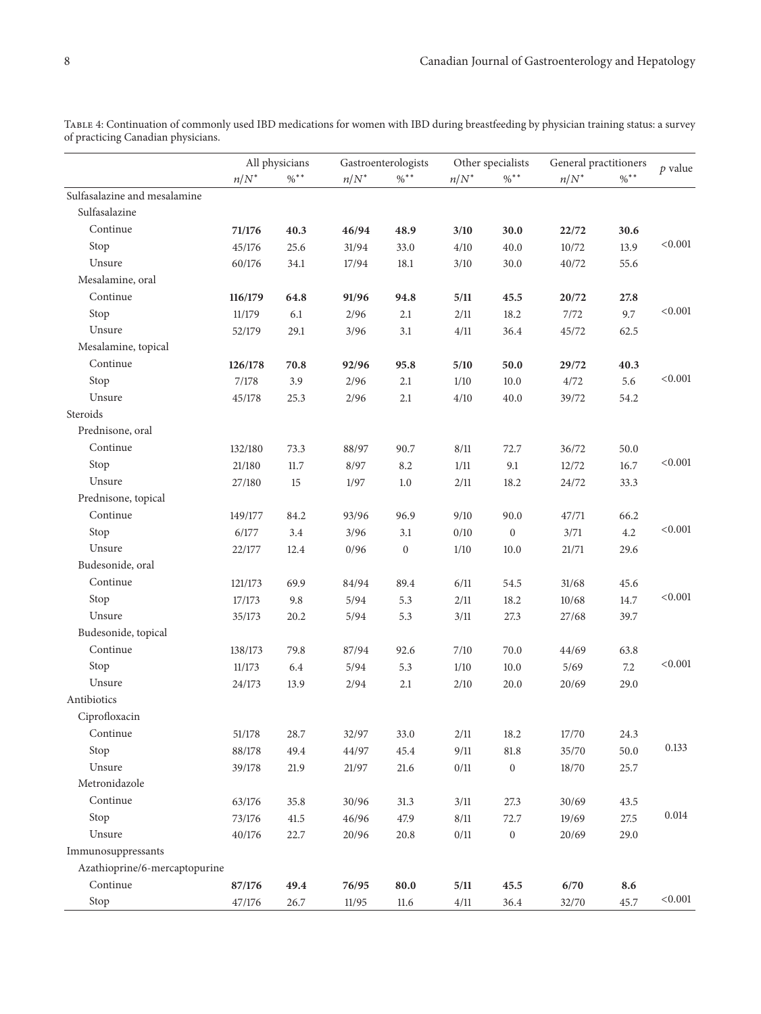|                               | All physicians |         | Gastroenterologists |                  | Other specialists |                  | General practitioners |         | $p$ value |
|-------------------------------|----------------|---------|---------------------|------------------|-------------------|------------------|-----------------------|---------|-----------|
|                               | $n/N^\ast$     | $\%$ ** | $n/N^*$             | $\%$ **          | $n/N^*$           | $\%$ **          | $n/N^*$               | $\%$ ** |           |
| Sulfasalazine and mesalamine  |                |         |                     |                  |                   |                  |                       |         |           |
| Sulfasalazine                 |                |         |                     |                  |                   |                  |                       |         |           |
| Continue                      | 71/176         | 40.3    | 46/94               | 48.9             | 3/10              | 30.0             | 22/72                 | 30.6    |           |
| Stop                          | 45/176         | 25.6    | 31/94               | 33.0             | 4/10              | 40.0             | 10/72                 | 13.9    | < 0.001   |
| Unsure                        | 60/176         | 34.1    | 17/94               | 18.1             | 3/10              | 30.0             | 40/72                 | 55.6    |           |
| Mesalamine, oral              |                |         |                     |                  |                   |                  |                       |         |           |
| Continue                      | 116/179        | 64.8    | 91/96               | 94.8             | 5/11              | 45.5             | 20/72                 | 27.8    |           |
| Stop                          | 11/179         | 6.1     | 2/96                | 2.1              | 2/11              | 18.2             | 7/72                  | 9.7     | < 0.001   |
| Unsure                        | 52/179         | 29.1    | 3/96                | 3.1              | 4/11              | 36.4             | 45/72                 | 62.5    |           |
| Mesalamine, topical           |                |         |                     |                  |                   |                  |                       |         |           |
| Continue                      | 126/178        | 70.8    | 92/96               | 95.8             | 5/10              | 50.0             | 29/72                 | 40.3    |           |
| Stop                          | 7/178          | 3.9     | 2/96                | 2.1              | 1/10              | 10.0             | 4/72                  | 5.6     | < 0.001   |
| Unsure                        | 45/178         | 25.3    | 2/96                | 2.1              | 4/10              | 40.0             | 39/72                 | 54.2    |           |
| Steroids                      |                |         |                     |                  |                   |                  |                       |         |           |
| Prednisone, oral              |                |         |                     |                  |                   |                  |                       |         |           |
| Continue                      | 132/180        | 73.3    | 88/97               | 90.7             | 8/11              | 72.7             | 36/72                 | 50.0    |           |
| Stop                          | 21/180         | 11.7    | 8/97                | 8.2              | 1/11              | 9.1              | 12/72                 | 16.7    | < 0.001   |
| Unsure                        | 27/180         | 15      | 1/97                | 1.0              | 2/11              | 18.2             | 24/72                 | 33.3    |           |
| Prednisone, topical           |                |         |                     |                  |                   |                  |                       |         |           |
| Continue                      | 149/177        | 84.2    | 93/96               | 96.9             | 9/10              | 90.0             | 47/71                 | 66.2    |           |
| Stop                          | 6/177          | 3.4     | 3/96                | 3.1              | $0/10$            | $\boldsymbol{0}$ | 3/71                  | 4.2     | < 0.001   |
| Unsure                        | 22/177         | 12.4    | 0/96                | $\boldsymbol{0}$ | 1/10              | 10.0             | 21/71                 | 29.6    |           |
| Budesonide, oral              |                |         |                     |                  |                   |                  |                       |         |           |
| Continue                      | 121/173        | 69.9    | 84/94               | 89.4             | 6/11              | 54.5             | 31/68                 | 45.6    |           |
| Stop                          | 17/173         | 9.8     | 5/94                | 5.3              | 2/11              | 18.2             | 10/68                 | 14.7    | < 0.001   |
| Unsure                        | 35/173         | 20.2    | 5/94                | 5.3              | 3/11              | 27.3             | 27/68                 | 39.7    |           |
| Budesonide, topical           |                |         |                     |                  |                   |                  |                       |         |           |
| Continue                      | 138/173        | 79.8    | 87/94               | 92.6             | $7/10$            | 70.0             | 44/69                 | 63.8    |           |
| Stop                          | 11/173         | 6.4     | 5/94                | 5.3              | 1/10              | $10.0$           | 5/69                  | 7.2     | < 0.001   |
| Unsure                        | 24/173         | 13.9    | 2/94                | 2.1              | 2/10              | 20.0             | 20/69                 | 29.0    |           |
| Antibiotics                   |                |         |                     |                  |                   |                  |                       |         |           |
| Ciprofloxacin                 |                |         |                     |                  |                   |                  |                       |         |           |
| Continue                      | 51/178         | 28.7    | 32/97               | 33.0             | 2/11              | 18.2             | 17/70                 | 24.3    |           |
| Stop                          | 88/178         | 49.4    | 44/97               | 45.4             | 9/11              | 81.8             | 35/70                 | 50.0    | 0.133     |
| Unsure                        | 39/178         | 21.9    | 21/97               | 21.6             | $0/11$            | $\boldsymbol{0}$ | 18/70                 | 25.7    |           |
| Metronidazole                 |                |         |                     |                  |                   |                  |                       |         |           |
| Continue                      | 63/176         | 35.8    | 30/96               | $31.3\,$         | 3/11              | 27.3             | 30/69                 | 43.5    |           |
| Stop                          | 73/176         | 41.5    | 46/96               | 47.9             | $8/11$            | 72.7             | 19/69                 | 27.5    | 0.014     |
| Unsure                        | 40/176         | 22.7    | 20/96               | 20.8             | 0/11              | $\boldsymbol{0}$ | 20/69                 | 29.0    |           |
| Immunosuppressants            |                |         |                     |                  |                   |                  |                       |         |           |
| Azathioprine/6-mercaptopurine |                |         |                     |                  |                   |                  |                       |         |           |
| Continue                      | 87/176         | 49.4    | 76/95               | 80.0             | $5/11$            | 45.5             | $6/70$                | 8.6     |           |
| Stop                          | 47/176         | 26.7    | 11/95               | 11.6             | 4/11              | 36.4             | 32/70                 | 45.7    | < 0.001   |

Table 4: Continuation of commonly used IBD medications for women with IBD during breastfeeding by physician training status: a survey of practicing Canadian physicians.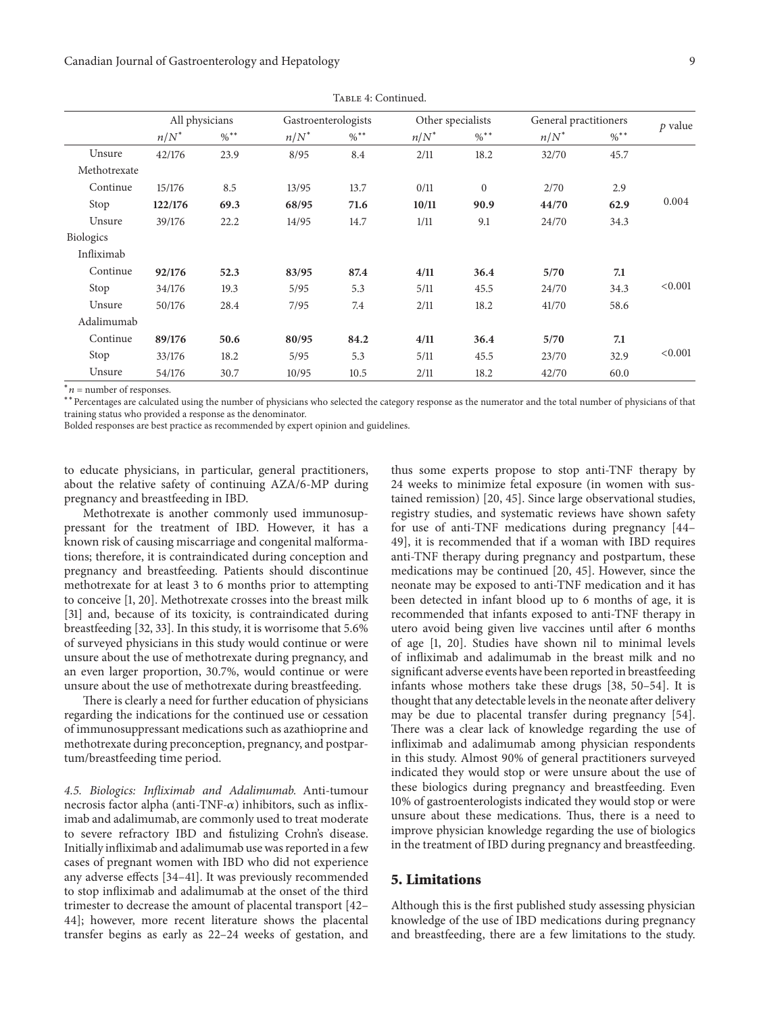| All physicians |         |         | Gastroenterologists |         |              | General practitioners |         | $p$ value |
|----------------|---------|---------|---------------------|---------|--------------|-----------------------|---------|-----------|
| $n/N^*$        | $\%$ ** | $n/N^*$ | $\%$ **             | $n/N^*$ | $\%$ **      | $n/N^*$               | $\%$ ** |           |
| 42/176         | 23.9    | 8/95    | 8.4                 | 2/11    | 18.2         | 32/70                 | 45.7    |           |
|                |         |         |                     |         |              |                       |         |           |
| 15/176         | 8.5     | 13/95   | 13.7                | 0/11    | $\mathbf{0}$ | 2/70                  | 2.9     | 0.004     |
| 122/176        | 69.3    | 68/95   | 71.6                | 10/11   | 90.9         | 44/70                 | 62.9    |           |
| 39/176         | 22.2    | 14/95   | 14.7                | 1/11    | 9.1          | 24/70                 | 34.3    |           |
|                |         |         |                     |         |              |                       |         |           |
|                |         |         |                     |         |              |                       |         |           |
| 92/176         | 52.3    | 83/95   | 87.4                | 4/11    | 36.4         | 5/70                  | 7.1     |           |
| 34/176         | 19.3    | 5/95    | 5.3                 | 5/11    | 45.5         | 24/70                 | 34.3    | < 0.001   |
| 50/176         | 28.4    | 7/95    | 7.4                 | 2/11    | 18.2         | 41/70                 | 58.6    |           |
|                |         |         |                     |         |              |                       |         |           |
| 89/176         | 50.6    | 80/95   | 84.2                | 4/11    | 36.4         | 5/70                  | 7.1     |           |
| 33/176         | 18.2    | 5/95    | 5.3                 | 5/11    | 45.5         | 23/70                 | 32.9    | < 0.001   |
| 54/176         | 30.7    | 10/95   | 10.5                | 2/11    | 18.2         | 42/70                 | 60.0    |           |
|                |         |         |                     |         |              | Other specialists     |         |           |

Table 4: Continued.

\* *n* = number of responses.<br>\*\*Percentages are calculated using the number of physicians who selected the category response as the numerator and the total number of physicians of that training status who provided a response as the denominator.

Bolded responses are best practice as recommended by expert opinion and guidelines.

to educate physicians, in particular, general practitioners, about the relative safety of continuing AZA/6-MP during pregnancy and breastfeeding in IBD.

Methotrexate is another commonly used immunosuppressant for the treatment of IBD. However, it has a known risk of causing miscarriage and congenital malformations; therefore, it is contraindicated during conception and pregnancy and breastfeeding. Patients should discontinue methotrexate for at least 3 to 6 months prior to attempting to conceive [1, 20]. Methotrexate crosses into the breast milk [31] and, because of its toxicity, is contraindicated during breastfeeding [32, 33]. In this study, it is worrisome that 5.6% of surveyed physicians in this study would continue or were unsure about the use of methotrexate during pregnancy, and an even larger proportion, 30.7%, would continue or were unsure about the use of methotrexate during breastfeeding.

There is clearly a need for further education of physicians regarding the indications for the continued use or cessation of immunosuppressant medications such as azathioprine and methotrexate during preconception, pregnancy, and postpartum/breastfeeding time period.

*4.5. Biologics: Infliximab and Adalimumab.* Anti-tumour necrosis factor alpha (anti-TNF- $\alpha$ ) inhibitors, such as infliximab and adalimumab, are commonly used to treat moderate to severe refractory IBD and fistulizing Crohn's disease. Initially infliximab and adalimumab use was reported in a few cases of pregnant women with IBD who did not experience any adverse effects [34–41]. It was previously recommended to stop infliximab and adalimumab at the onset of the third trimester to decrease the amount of placental transport [42– 44]; however, more recent literature shows the placental transfer begins as early as 22–24 weeks of gestation, and thus some experts propose to stop anti-TNF therapy by 24 weeks to minimize fetal exposure (in women with sustained remission) [20, 45]. Since large observational studies, registry studies, and systematic reviews have shown safety for use of anti-TNF medications during pregnancy [44– 49], it is recommended that if a woman with IBD requires anti-TNF therapy during pregnancy and postpartum, these medications may be continued [20, 45]. However, since the neonate may be exposed to anti-TNF medication and it has been detected in infant blood up to 6 months of age, it is recommended that infants exposed to anti-TNF therapy in utero avoid being given live vaccines until after 6 months of age [1, 20]. Studies have shown nil to minimal levels of infliximab and adalimumab in the breast milk and no significant adverse events have been reported in breastfeeding infants whose mothers take these drugs [38, 50–54]. It is thought that any detectable levels in the neonate after delivery may be due to placental transfer during pregnancy [54]. There was a clear lack of knowledge regarding the use of infliximab and adalimumab among physician respondents in this study. Almost 90% of general practitioners surveyed indicated they would stop or were unsure about the use of these biologics during pregnancy and breastfeeding. Even 10% of gastroenterologists indicated they would stop or were unsure about these medications. Thus, there is a need to improve physician knowledge regarding the use of biologics in the treatment of IBD during pregnancy and breastfeeding.

#### **5. Limitations**

Although this is the first published study assessing physician knowledge of the use of IBD medications during pregnancy and breastfeeding, there are a few limitations to the study.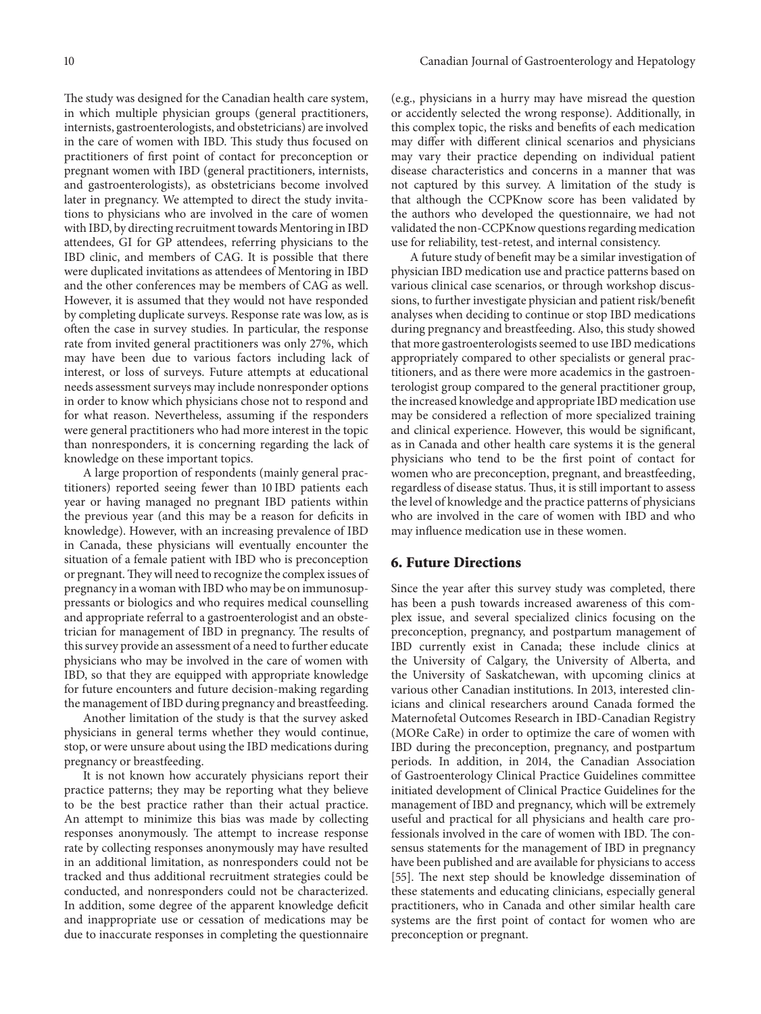The study was designed for the Canadian health care system, in which multiple physician groups (general practitioners, internists, gastroenterologists, and obstetricians) are involved in the care of women with IBD. This study thus focused on practitioners of first point of contact for preconception or pregnant women with IBD (general practitioners, internists, and gastroenterologists), as obstetricians become involved later in pregnancy. We attempted to direct the study invitations to physicians who are involved in the care of women with IBD, by directing recruitment towards Mentoring in IBD attendees, GI for GP attendees, referring physicians to the IBD clinic, and members of CAG. It is possible that there were duplicated invitations as attendees of Mentoring in IBD and the other conferences may be members of CAG as well. However, it is assumed that they would not have responded by completing duplicate surveys. Response rate was low, as is often the case in survey studies. In particular, the response rate from invited general practitioners was only 27%, which may have been due to various factors including lack of interest, or loss of surveys. Future attempts at educational needs assessment surveys may include nonresponder options in order to know which physicians chose not to respond and for what reason. Nevertheless, assuming if the responders were general practitioners who had more interest in the topic than nonresponders, it is concerning regarding the lack of knowledge on these important topics.

A large proportion of respondents (mainly general practitioners) reported seeing fewer than 10 IBD patients each year or having managed no pregnant IBD patients within the previous year (and this may be a reason for deficits in knowledge). However, with an increasing prevalence of IBD in Canada, these physicians will eventually encounter the situation of a female patient with IBD who is preconception or pregnant.They will need to recognize the complex issues of pregnancy in a woman with IBD who may be on immunosuppressants or biologics and who requires medical counselling and appropriate referral to a gastroenterologist and an obstetrician for management of IBD in pregnancy. The results of this survey provide an assessment of a need to further educate physicians who may be involved in the care of women with IBD, so that they are equipped with appropriate knowledge for future encounters and future decision-making regarding the management of IBD during pregnancy and breastfeeding.

Another limitation of the study is that the survey asked physicians in general terms whether they would continue, stop, or were unsure about using the IBD medications during pregnancy or breastfeeding.

It is not known how accurately physicians report their practice patterns; they may be reporting what they believe to be the best practice rather than their actual practice. An attempt to minimize this bias was made by collecting responses anonymously. The attempt to increase response rate by collecting responses anonymously may have resulted in an additional limitation, as nonresponders could not be tracked and thus additional recruitment strategies could be conducted, and nonresponders could not be characterized. In addition, some degree of the apparent knowledge deficit and inappropriate use or cessation of medications may be due to inaccurate responses in completing the questionnaire

(e.g., physicians in a hurry may have misread the question or accidently selected the wrong response). Additionally, in this complex topic, the risks and benefits of each medication may differ with different clinical scenarios and physicians may vary their practice depending on individual patient disease characteristics and concerns in a manner that was not captured by this survey. A limitation of the study is that although the CCPKnow score has been validated by the authors who developed the questionnaire, we had not validated the non-CCPKnow questions regarding medication use for reliability, test-retest, and internal consistency.

A future study of benefit may be a similar investigation of physician IBD medication use and practice patterns based on various clinical case scenarios, or through workshop discussions, to further investigate physician and patient risk/benefit analyses when deciding to continue or stop IBD medications during pregnancy and breastfeeding. Also, this study showed that more gastroenterologists seemed to use IBD medications appropriately compared to other specialists or general practitioners, and as there were more academics in the gastroenterologist group compared to the general practitioner group, the increased knowledge and appropriate IBD medication use may be considered a reflection of more specialized training and clinical experience. However, this would be significant, as in Canada and other health care systems it is the general physicians who tend to be the first point of contact for women who are preconception, pregnant, and breastfeeding, regardless of disease status. Thus, it is still important to assess the level of knowledge and the practice patterns of physicians who are involved in the care of women with IBD and who may influence medication use in these women.

# **6. Future Directions**

Since the year after this survey study was completed, there has been a push towards increased awareness of this complex issue, and several specialized clinics focusing on the preconception, pregnancy, and postpartum management of IBD currently exist in Canada; these include clinics at the University of Calgary, the University of Alberta, and the University of Saskatchewan, with upcoming clinics at various other Canadian institutions. In 2013, interested clinicians and clinical researchers around Canada formed the Maternofetal Outcomes Research in IBD-Canadian Registry (MORe CaRe) in order to optimize the care of women with IBD during the preconception, pregnancy, and postpartum periods. In addition, in 2014, the Canadian Association of Gastroenterology Clinical Practice Guidelines committee initiated development of Clinical Practice Guidelines for the management of IBD and pregnancy, which will be extremely useful and practical for all physicians and health care professionals involved in the care of women with IBD. The consensus statements for the management of IBD in pregnancy have been published and are available for physicians to access [55]. The next step should be knowledge dissemination of these statements and educating clinicians, especially general practitioners, who in Canada and other similar health care systems are the first point of contact for women who are preconception or pregnant.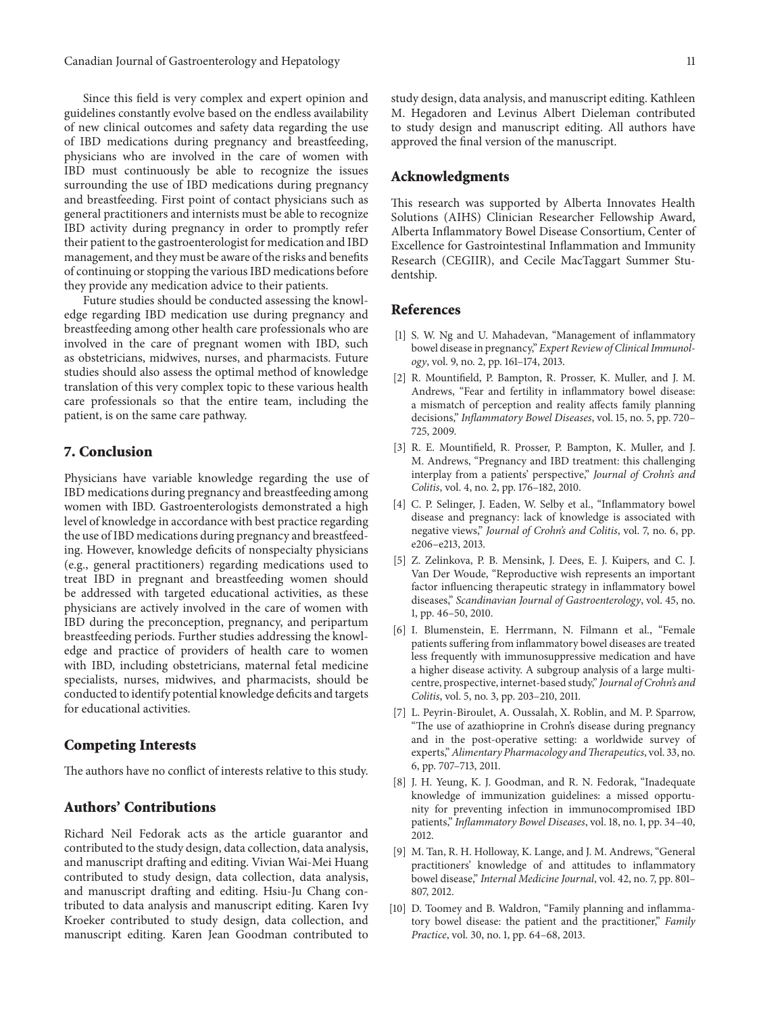Canadian Journal of Gastroenterology and Hepatology 11

Since this field is very complex and expert opinion and guidelines constantly evolve based on the endless availability of new clinical outcomes and safety data regarding the use of IBD medications during pregnancy and breastfeeding, physicians who are involved in the care of women with IBD must continuously be able to recognize the issues surrounding the use of IBD medications during pregnancy and breastfeeding. First point of contact physicians such as general practitioners and internists must be able to recognize IBD activity during pregnancy in order to promptly refer their patient to the gastroenterologist for medication and IBD management, and they must be aware of the risks and benefits of continuing or stopping the various IBD medications before they provide any medication advice to their patients.

Future studies should be conducted assessing the knowledge regarding IBD medication use during pregnancy and breastfeeding among other health care professionals who are involved in the care of pregnant women with IBD, such as obstetricians, midwives, nurses, and pharmacists. Future studies should also assess the optimal method of knowledge translation of this very complex topic to these various health care professionals so that the entire team, including the patient, is on the same care pathway.

## **7. Conclusion**

Physicians have variable knowledge regarding the use of IBD medications during pregnancy and breastfeeding among women with IBD. Gastroenterologists demonstrated a high level of knowledge in accordance with best practice regarding the use of IBD medications during pregnancy and breastfeeding. However, knowledge deficits of nonspecialty physicians (e.g., general practitioners) regarding medications used to treat IBD in pregnant and breastfeeding women should be addressed with targeted educational activities, as these physicians are actively involved in the care of women with IBD during the preconception, pregnancy, and peripartum breastfeeding periods. Further studies addressing the knowledge and practice of providers of health care to women with IBD, including obstetricians, maternal fetal medicine specialists, nurses, midwives, and pharmacists, should be conducted to identify potential knowledge deficits and targets for educational activities.

### **Competing Interests**

The authors have no conflict of interests relative to this study.

## **Authors' Contributions**

Richard Neil Fedorak acts as the article guarantor and contributed to the study design, data collection, data analysis, and manuscript drafting and editing. Vivian Wai-Mei Huang contributed to study design, data collection, data analysis, and manuscript drafting and editing. Hsiu-Ju Chang contributed to data analysis and manuscript editing. Karen Ivy Kroeker contributed to study design, data collection, and manuscript editing. Karen Jean Goodman contributed to

study design, data analysis, and manuscript editing. Kathleen M. Hegadoren and Levinus Albert Dieleman contributed to study design and manuscript editing. All authors have approved the final version of the manuscript.

#### **Acknowledgments**

This research was supported by Alberta Innovates Health Solutions (AIHS) Clinician Researcher Fellowship Award, Alberta Inflammatory Bowel Disease Consortium, Center of Excellence for Gastrointestinal Inflammation and Immunity Research (CEGIIR), and Cecile MacTaggart Summer Studentship.

#### **References**

- [1] S. W. Ng and U. Mahadevan, "Management of inflammatory bowel disease in pregnancy," *Expert Review of Clinical Immunology*, vol. 9, no. 2, pp. 161–174, 2013.
- [2] R. Mountifield, P. Bampton, R. Prosser, K. Muller, and J. M. Andrews, "Fear and fertility in inflammatory bowel disease: a mismatch of perception and reality affects family planning decisions," *Inflammatory Bowel Diseases*, vol. 15, no. 5, pp. 720– 725, 2009.
- [3] R. E. Mountifield, R. Prosser, P. Bampton, K. Muller, and J. M. Andrews, "Pregnancy and IBD treatment: this challenging interplay from a patients' perspective," *Journal of Crohn's and Colitis*, vol. 4, no. 2, pp. 176–182, 2010.
- [4] C. P. Selinger, J. Eaden, W. Selby et al., "Inflammatory bowel disease and pregnancy: lack of knowledge is associated with negative views," *Journal of Crohn's and Colitis*, vol. 7, no. 6, pp. e206–e213, 2013.
- [5] Z. Zelinkova, P. B. Mensink, J. Dees, E. J. Kuipers, and C. J. Van Der Woude, "Reproductive wish represents an important factor influencing therapeutic strategy in inflammatory bowel diseases," *Scandinavian Journal of Gastroenterology*, vol. 45, no. 1, pp. 46–50, 2010.
- [6] I. Blumenstein, E. Herrmann, N. Filmann et al., "Female patients suffering from inflammatory bowel diseases are treated less frequently with immunosuppressive medication and have a higher disease activity. A subgroup analysis of a large multicentre, prospective, internet-based study," *Journal of Crohn's and Colitis*, vol. 5, no. 3, pp. 203–210, 2011.
- [7] L. Peyrin-Biroulet, A. Oussalah, X. Roblin, and M. P. Sparrow, "The use of azathioprine in Crohn's disease during pregnancy and in the post-operative setting: a worldwide survey of experts,"*Alimentary Pharmacology andTherapeutics*, vol. 33, no. 6, pp. 707–713, 2011.
- [8] J. H. Yeung, K. J. Goodman, and R. N. Fedorak, "Inadequate knowledge of immunization guidelines: a missed opportunity for preventing infection in immunocompromised IBD patients," *Inflammatory Bowel Diseases*, vol. 18, no. 1, pp. 34–40, 2012.
- [9] M. Tan, R. H. Holloway, K. Lange, and J. M. Andrews, "General practitioners' knowledge of and attitudes to inflammatory bowel disease," *Internal Medicine Journal*, vol. 42, no. 7, pp. 801– 807, 2012.
- [10] D. Toomey and B. Waldron, "Family planning and inflammatory bowel disease: the patient and the practitioner," *Family Practice*, vol. 30, no. 1, pp. 64–68, 2013.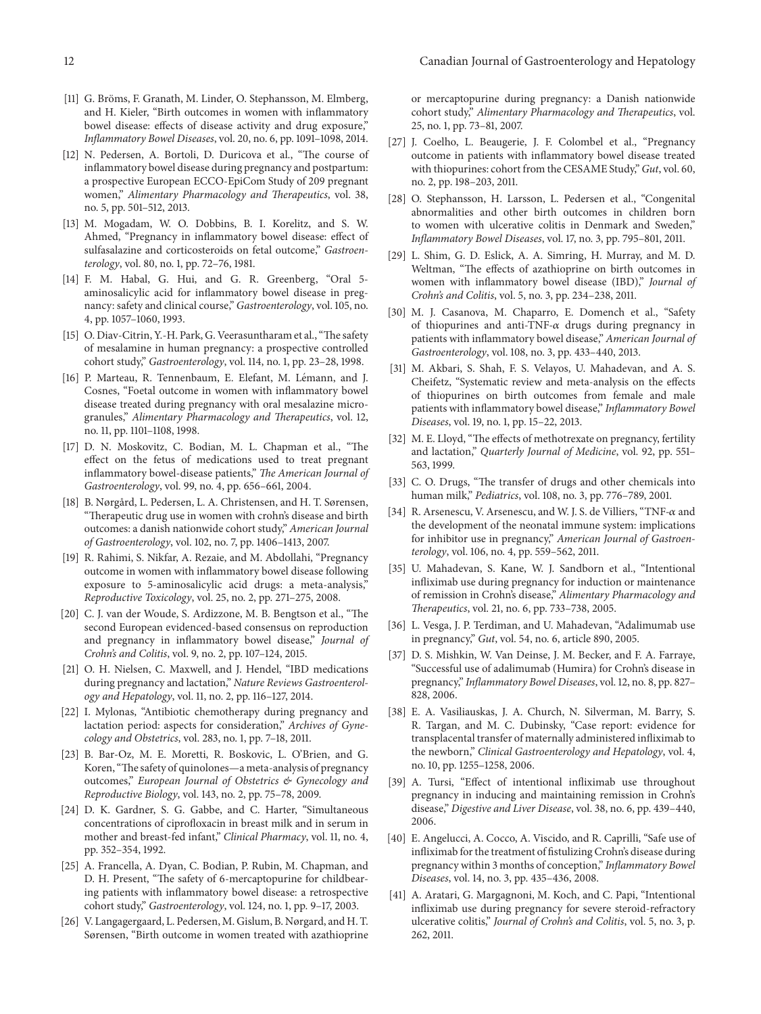- [11] G. Bröms, F. Granath, M. Linder, O. Stephansson, M. Elmberg, and H. Kieler, "Birth outcomes in women with inflammatory bowel disease: effects of disease activity and drug exposure," *Inflammatory Bowel Diseases*, vol. 20, no. 6, pp. 1091–1098, 2014.
- [12] N. Pedersen, A. Bortoli, D. Duricova et al., "The course of inflammatory bowel disease during pregnancy and postpartum: a prospective European ECCO-EpiCom Study of 209 pregnant women," *Alimentary Pharmacology and Therapeutics*, vol. 38, no. 5, pp. 501–512, 2013.
- [13] M. Mogadam, W. O. Dobbins, B. I. Korelitz, and S. W. Ahmed, "Pregnancy in inflammatory bowel disease: effect of sulfasalazine and corticosteroids on fetal outcome," *Gastroenterology*, vol. 80, no. 1, pp. 72–76, 1981.
- [14] F. M. Habal, G. Hui, and G. R. Greenberg, "Oral 5 aminosalicylic acid for inflammatory bowel disease in pregnancy: safety and clinical course," *Gastroenterology*, vol. 105, no. 4, pp. 1057–1060, 1993.
- [15] O. Diav-Citrin, Y.-H. Park, G. Veerasuntharam et al., "The safety of mesalamine in human pregnancy: a prospective controlled cohort study," *Gastroenterology*, vol. 114, no. 1, pp. 23–28, 1998.
- [16] P. Marteau, R. Tennenbaum, E. Elefant, M. Lémann, and J. Cosnes, "Foetal outcome in women with inflammatory bowel disease treated during pregnancy with oral mesalazine microgranules," *Alimentary Pharmacology and Therapeutics*, vol. 12, no. 11, pp. 1101–1108, 1998.
- [17] D. N. Moskovitz, C. Bodian, M. L. Chapman et al., "The effect on the fetus of medications used to treat pregnant inflammatory bowel-disease patients," *The American Journal of Gastroenterology*, vol. 99, no. 4, pp. 656–661, 2004.
- [18] B. Nørgård, L. Pedersen, L. A. Christensen, and H. T. Sørensen, "Therapeutic drug use in women with crohn's disease and birth outcomes: a danish nationwide cohort study," *American Journal of Gastroenterology*, vol. 102, no. 7, pp. 1406–1413, 2007.
- [19] R. Rahimi, S. Nikfar, A. Rezaie, and M. Abdollahi, "Pregnancy outcome in women with inflammatory bowel disease following exposure to 5-aminosalicylic acid drugs: a meta-analysis," *Reproductive Toxicology*, vol. 25, no. 2, pp. 271–275, 2008.
- [20] C. J. van der Woude, S. Ardizzone, M. B. Bengtson et al., "The second European evidenced-based consensus on reproduction and pregnancy in inflammatory bowel disease," *Journal of Crohn's and Colitis*, vol. 9, no. 2, pp. 107–124, 2015.
- [21] O. H. Nielsen, C. Maxwell, and J. Hendel, "IBD medications during pregnancy and lactation," *Nature Reviews Gastroenterology and Hepatology*, vol. 11, no. 2, pp. 116–127, 2014.
- [22] I. Mylonas, "Antibiotic chemotherapy during pregnancy and lactation period: aspects for consideration," *Archives of Gynecology and Obstetrics*, vol. 283, no. 1, pp. 7–18, 2011.
- [23] B. Bar-Oz, M. E. Moretti, R. Boskovic, L. O'Brien, and G. Koren, "The safety of quinolones—a meta-analysis of pregnancy outcomes," *European Journal of Obstetrics & Gynecology and Reproductive Biology*, vol. 143, no. 2, pp. 75–78, 2009.
- [24] D. K. Gardner, S. G. Gabbe, and C. Harter, "Simultaneous concentrations of ciprofloxacin in breast milk and in serum in mother and breast-fed infant," *Clinical Pharmacy*, vol. 11, no. 4, pp. 352–354, 1992.
- [25] A. Francella, A. Dyan, C. Bodian, P. Rubin, M. Chapman, and D. H. Present, "The safety of 6-mercaptopurine for childbearing patients with inflammatory bowel disease: a retrospective cohort study," *Gastroenterology*, vol. 124, no. 1, pp. 9–17, 2003.
- [26] V. Langagergaard, L. Pedersen, M. Gislum, B. Nørgard, and H. T. Sørensen, "Birth outcome in women treated with azathioprine

or mercaptopurine during pregnancy: a Danish nationwide cohort study," *Alimentary Pharmacology and Therapeutics*, vol. 25, no. 1, pp. 73–81, 2007.

- [27] J. Coelho, L. Beaugerie, J. F. Colombel et al., "Pregnancy outcome in patients with inflammatory bowel disease treated with thiopurines: cohort from the CESAME Study," *Gut*, vol. 60, no. 2, pp. 198–203, 2011.
- [28] O. Stephansson, H. Larsson, L. Pedersen et al., "Congenital abnormalities and other birth outcomes in children born to women with ulcerative colitis in Denmark and Sweden," *Inflammatory Bowel Diseases*, vol. 17, no. 3, pp. 795–801, 2011.
- [29] L. Shim, G. D. Eslick, A. A. Simring, H. Murray, and M. D. Weltman, "The effects of azathioprine on birth outcomes in women with inflammatory bowel disease (IBD)," *Journal of Crohn's and Colitis*, vol. 5, no. 3, pp. 234–238, 2011.
- [30] M. J. Casanova, M. Chaparro, E. Domench et al., "Safety of thiopurines and anti-TNF- $\alpha$  drugs during pregnancy in patients with inflammatory bowel disease," *American Journal of Gastroenterology*, vol. 108, no. 3, pp. 433–440, 2013.
- [31] M. Akbari, S. Shah, F. S. Velayos, U. Mahadevan, and A. S. Cheifetz, "Systematic review and meta-analysis on the effects of thiopurines on birth outcomes from female and male patients with inflammatory bowel disease," *Inflammatory Bowel Diseases*, vol. 19, no. 1, pp. 15–22, 2013.
- [32] M. E. Lloyd, "The effects of methotrexate on pregnancy, fertility and lactation," *Quarterly Journal of Medicine*, vol. 92, pp. 551– 563, 1999.
- [33] C. O. Drugs, "The transfer of drugs and other chemicals into human milk," *Pediatrics*, vol. 108, no. 3, pp. 776–789, 2001.
- [34] R. Arsenescu, V. Arsenescu, and W. J. S. de Villiers, "TNF- $\alpha$  and the development of the neonatal immune system: implications for inhibitor use in pregnancy," *American Journal of Gastroenterology*, vol. 106, no. 4, pp. 559–562, 2011.
- [35] U. Mahadevan, S. Kane, W. J. Sandborn et al., "Intentional infliximab use during pregnancy for induction or maintenance of remission in Crohn's disease," *Alimentary Pharmacology and Therapeutics*, vol. 21, no. 6, pp. 733–738, 2005.
- [36] L. Vesga, J. P. Terdiman, and U. Mahadevan, "Adalimumab use in pregnancy," *Gut*, vol. 54, no. 6, article 890, 2005.
- [37] D. S. Mishkin, W. Van Deinse, J. M. Becker, and F. A. Farraye, "Successful use of adalimumab (Humira) for Crohn's disease in pregnancy," *Inflammatory Bowel Diseases*, vol. 12, no. 8, pp. 827– 828, 2006.
- [38] E. A. Vasiliauskas, J. A. Church, N. Silverman, M. Barry, S. R. Targan, and M. C. Dubinsky, "Case report: evidence for transplacental transfer of maternally administered infliximab to the newborn," *Clinical Gastroenterology and Hepatology*, vol. 4, no. 10, pp. 1255–1258, 2006.
- [39] A. Tursi, "Effect of intentional infliximab use throughout pregnancy in inducing and maintaining remission in Crohn's disease," *Digestive and Liver Disease*, vol. 38, no. 6, pp. 439–440, 2006.
- [40] E. Angelucci, A. Cocco, A. Viscido, and R. Caprilli, "Safe use of infliximab for the treatment of fistulizing Crohn's disease during pregnancy within 3 months of conception," *Inflammatory Bowel Diseases*, vol. 14, no. 3, pp. 435–436, 2008.
- [41] A. Aratari, G. Margagnoni, M. Koch, and C. Papi, "Intentional infliximab use during pregnancy for severe steroid-refractory ulcerative colitis," *Journal of Crohn's and Colitis*, vol. 5, no. 3, p. 262, 2011.